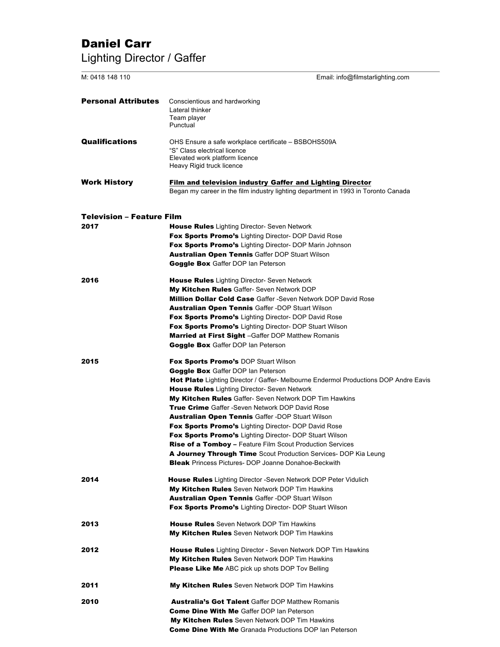# Daniel Carr Lighting Director / Gaffer

| M: 0418 148 110                  | Email: info@filmstarlighting.com                                                                                                                                                                                                                                                                                                                                                                                                                                                                                                                                                                                                                                                                                                                                     |  |
|----------------------------------|----------------------------------------------------------------------------------------------------------------------------------------------------------------------------------------------------------------------------------------------------------------------------------------------------------------------------------------------------------------------------------------------------------------------------------------------------------------------------------------------------------------------------------------------------------------------------------------------------------------------------------------------------------------------------------------------------------------------------------------------------------------------|--|
| <b>Personal Attributes</b>       | Conscientious and hardworking<br>Lateral thinker<br>Team player<br>Punctual                                                                                                                                                                                                                                                                                                                                                                                                                                                                                                                                                                                                                                                                                          |  |
| <b>Qualifications</b>            | OHS Ensure a safe workplace certificate - BSBOHS509A<br>"S" Class electrical licence<br>Elevated work platform licence<br>Heavy Rigid truck licence                                                                                                                                                                                                                                                                                                                                                                                                                                                                                                                                                                                                                  |  |
| <b>Work History</b>              | Film and television industry Gaffer and Lighting Director<br>Began my career in the film industry lighting department in 1993 in Toronto Canada                                                                                                                                                                                                                                                                                                                                                                                                                                                                                                                                                                                                                      |  |
| <b>Television - Feature Film</b> |                                                                                                                                                                                                                                                                                                                                                                                                                                                                                                                                                                                                                                                                                                                                                                      |  |
| 2017                             | <b>House Rules</b> Lighting Director- Seven Network<br><b>Fox Sports Promo's</b> Lighting Director- DOP David Rose<br>Fox Sports Promo's Lighting Director- DOP Marin Johnson<br><b>Australian Open Tennis Gaffer DOP Stuart Wilson</b><br><b>Goggle Box</b> Gaffer DOP Ian Peterson                                                                                                                                                                                                                                                                                                                                                                                                                                                                                 |  |
| 2016                             | <b>House Rules</b> Lighting Director- Seven Network<br><b>My Kitchen Rules</b> Gaffer- Seven Network DOP<br><b>Million Dollar Cold Case Gaffer - Seven Network DOP David Rose</b><br><b>Australian Open Tennis Gaffer -DOP Stuart Wilson</b><br>Fox Sports Promo's Lighting Director- DOP David Rose<br>Fox Sports Promo's Lighting Director- DOP Stuart Wilson<br><b>Married at First Sight</b> -Gaffer DOP Matthew Romanis<br><b>Goggle Box</b> Gaffer DOP Ian Peterson                                                                                                                                                                                                                                                                                            |  |
| 2015                             | <b>Fox Sports Promo's DOP Stuart Wilson</b><br><b>Goggle Box</b> Gaffer DOP Ian Peterson<br>Hot Plate Lighting Director / Gaffer- Melbourne Endermol Productions DOP Andre Eavis<br><b>House Rules</b> Lighting Director- Seven Network<br><b>My Kitchen Rules</b> Gaffer- Seven Network DOP Tim Hawkins<br><b>True Crime</b> Gaffer -Seven Network DOP David Rose<br><b>Australian Open Tennis Gaffer -DOP Stuart Wilson</b><br>Fox Sports Promo's Lighting Director- DOP David Rose<br><b>Fox Sports Promo's</b> Lighting Director- DOP Stuart Wilson<br><b>Rise of a Tomboy</b> – Feature Film Scout Production Services<br><b>A Journey Through Time</b> Scout Production Services- DOP Kia Leung<br><b>Bleak</b> Princess Pictures- DOP Joanne Donahoe-Beckwith |  |
| 2014                             | <b>House Rules</b> Lighting Director -Seven Network DOP Peter Vidulich<br>My Kitchen Rules Seven Network DOP Tim Hawkins<br><b>Australian Open Tennis Gaffer -DOP Stuart Wilson</b><br>Fox Sports Promo's Lighting Director- DOP Stuart Wilson                                                                                                                                                                                                                                                                                                                                                                                                                                                                                                                       |  |
| 2013                             | <b>House Rules</b> Seven Network DOP Tim Hawkins<br><b>My Kitchen Rules</b> Seven Network DOP Tim Hawkins                                                                                                                                                                                                                                                                                                                                                                                                                                                                                                                                                                                                                                                            |  |
| 2012                             | <b>House Rules</b> Lighting Director - Seven Network DOP Tim Hawkins<br><b>My Kitchen Rules</b> Seven Network DOP Tim Hawkins<br><b>Please Like Me</b> ABC pick up shots DOP Tov Belling                                                                                                                                                                                                                                                                                                                                                                                                                                                                                                                                                                             |  |
| 2011                             | <b>My Kitchen Rules</b> Seven Network DOP Tim Hawkins                                                                                                                                                                                                                                                                                                                                                                                                                                                                                                                                                                                                                                                                                                                |  |
| 2010                             | <b>Australia's Got Talent Gaffer DOP Matthew Romanis</b><br><b>Come Dine With Me Gaffer DOP Ian Peterson</b><br><b>My Kitchen Rules</b> Seven Network DOP Tim Hawkins<br><b>Come Dine With Me</b> Granada Productions DOP Ian Peterson                                                                                                                                                                                                                                                                                                                                                                                                                                                                                                                               |  |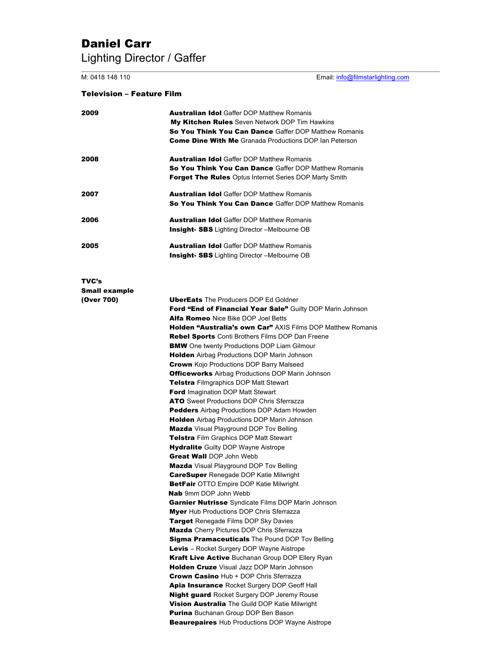# Daniel Carr Lighting Director / Gaffer

M: 0418 148 110 Email: info@filmstarlighting.com

### Television – Feature Film

| 2009                                        | <b>Australian Idol</b> Gaffer DOP Matthew Romanis<br><b>My Kitchen Rules</b> Seven Network DOP Tim Hawkins<br><b>So You Think You Can Dance</b> Gaffer DOP Matthew Romanis<br><b>Come Dine With Me</b> Granada Productions DOP Ian Peterson                                                                                                                                                                                                                                                                                                                                                                                                                                                                                                                                                                                                                                                                                                                                                                                                                                                                                                                                                                                                                                                                                |
|---------------------------------------------|----------------------------------------------------------------------------------------------------------------------------------------------------------------------------------------------------------------------------------------------------------------------------------------------------------------------------------------------------------------------------------------------------------------------------------------------------------------------------------------------------------------------------------------------------------------------------------------------------------------------------------------------------------------------------------------------------------------------------------------------------------------------------------------------------------------------------------------------------------------------------------------------------------------------------------------------------------------------------------------------------------------------------------------------------------------------------------------------------------------------------------------------------------------------------------------------------------------------------------------------------------------------------------------------------------------------------|
| 2008                                        | <b>Australian Idol</b> Gaffer DOP Matthew Romanis<br><b>So You Think You Can Dance Gaffer DOP Matthew Romanis</b><br><b>Forget The Rules</b> Optus Internet Series DOP Marty Smith                                                                                                                                                                                                                                                                                                                                                                                                                                                                                                                                                                                                                                                                                                                                                                                                                                                                                                                                                                                                                                                                                                                                         |
| 2007                                        | <b>Australian Idol</b> Gaffer DOP Matthew Romanis<br><b>So You Think You Can Dance Gaffer DOP Matthew Romanis</b>                                                                                                                                                                                                                                                                                                                                                                                                                                                                                                                                                                                                                                                                                                                                                                                                                                                                                                                                                                                                                                                                                                                                                                                                          |
| 2006                                        | <b>Australian Idol</b> Gaffer DOP Matthew Romanis<br><b>Insight- SBS</b> Lighting Director -Melbourne OB                                                                                                                                                                                                                                                                                                                                                                                                                                                                                                                                                                                                                                                                                                                                                                                                                                                                                                                                                                                                                                                                                                                                                                                                                   |
| 2005                                        | <b>Australian Idol</b> Gaffer DOP Matthew Romanis<br><b>Insight- SBS</b> Lighting Director -Melbourne OB                                                                                                                                                                                                                                                                                                                                                                                                                                                                                                                                                                                                                                                                                                                                                                                                                                                                                                                                                                                                                                                                                                                                                                                                                   |
| TVC's<br><b>Small example</b><br>(Over 700) | <b>UberEats</b> The Producers DOP Ed Goldner                                                                                                                                                                                                                                                                                                                                                                                                                                                                                                                                                                                                                                                                                                                                                                                                                                                                                                                                                                                                                                                                                                                                                                                                                                                                               |
|                                             | Ford "End of Financial Year Sale" Guilty DOP Marin Johnson<br><b>Alfa Romeo</b> Nice Bike DOP Joel Betts<br><b>Holden "Australia's own Car"</b> AXIS Films DOP Matthew Romanis<br><b>Rebel Sports</b> Conti Brothers Films DOP Dan Freene<br><b>BMW</b> One twenty Productions DOP Liam Gilmour<br><b>Holden</b> Airbag Productions DOP Marin Johnson<br><b>Crown</b> Kojo Productions DOP Barry Malseed<br><b>Officeworks</b> Airbag Productions DOP Marin Johnson<br><b>Telstra</b> Filmgraphics DOP Matt Stewart<br><b>Ford</b> Imagination DOP Matt Stewart<br><b>ATO</b> Sweet Productions DOP Chris Sferrazza<br><b>Pedders</b> Airbag Productions DOP Adam Howden<br><b>Holden</b> Airbag Productions DOP Marin Johnson<br><b>Mazda</b> Visual Playground DOP Tov Belling<br><b>Telstra Film Graphics DOP Matt Stewart</b><br><b>Hydralite</b> Guilty DOP Wayne Aistrope<br><b>Great Wall DOP John Webb</b><br><b>Mazda</b> Visual Playground DOP Tov Belling<br><b>CareSuper</b> Renegade DOP Katie Milwright<br><b>BetFair</b> OTTO Empire DOP Katie Milwright<br><b>Nab</b> 9mm DOP John Webb<br><b>Garnier Nutrisse</b> Syndicate Films DOP Marin Johnson<br><b>Myer</b> Hub Productions DOP Chris Sferrazza<br><b>Target</b> Renegade Films DOP Sky Davies<br><b>Mazda</b> Cherry Pictures DOP Chris Sferrazza |
|                                             | <b>Sigma Pramaceuticals</b> The Pound DOP Tov Belling<br><b>Levis</b> – Rocket Surgery DOP Wayne Aistrope<br>Kraft Live Active Buchanan Group DOP Ellery Ryan<br>Holden Cruze Visual Jazz DOP Marin Johnson<br><b>Crown Casino Hub + DOP Chris Sferrazza</b><br><b>Apia Insurance</b> Rocket Surgery DOP Geoff Hall<br><b>Night guard</b> Rocket Surgery DOP Jeremy Rouse<br><b>Vision Australia</b> The Guild DOP Katie Milwright<br><b>Purina</b> Buchanan Group DOP Ben Bason<br><b>Beaurepaires</b> Hub Productions DOP Wayne Aistrope                                                                                                                                                                                                                                                                                                                                                                                                                                                                                                                                                                                                                                                                                                                                                                                 |